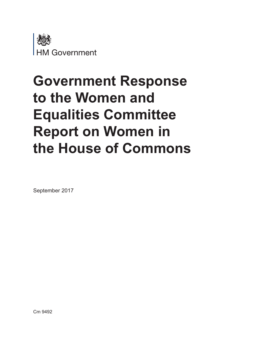

# **Government Response to the Women and Equalities Committee Report on Women in the House of Commons**

September 2017

Cm 9492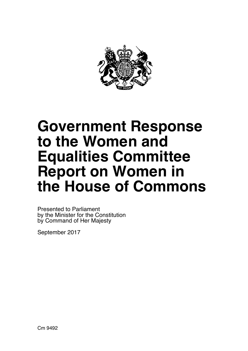

# **Government Response to the Women and Equalities Committee Report on Women in the House of Commons**

 by the Minister for the Constitution by Command of Her Majesty Presented to Parliament

September 2017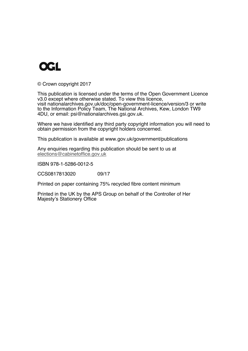

© Crown copyright 2017

This publication is licensed under the terms of the Open Government Licence v3.0 except where otherwise stated. To view this licence, visit nationalarchives.gov.uk/doc/open-government-licence/version/3 or write to the Information Policy Team, The National Archives, Kew, London TW9 4DU, or email: psi@nationalarchives.gsi.gov.uk.

Where we have identified any third party copyright information you will need to obtain permission from the copyright holders concerned.

This publication is available at www.gov.uk/government/publications

Any enquiries regarding this publication should be sent to us at elections@cabinetoffice.gov.uk

ISBN 978-1-5286-0012-5

CCS0817813020 09/17

Printed on paper containing 75% recycled fibre content minimum

Printed in the UK by the APS Group on behalf of the Controller of Her Majesty's Stationery Office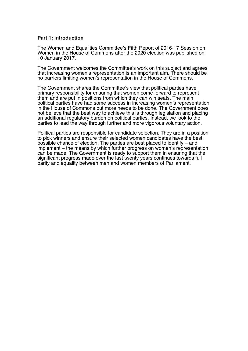## **Part 1: Introduction**

The Women and Equalities Committee's Fifth Report of 2016-17 Session on Women in the House of Commons after the 2020 election was published on 10 January 2017.

 no barriers limiting women's representation in the House of Commons. The Government welcomes the Committee's work on this subject and agrees that increasing women's representation is an important aim. There should be

The Government shares the Committee's view that political parties have primary responsibility for ensuring that women come forward to represent them and are put in positions from which they can win seats. The main political parties have had some success in increasing women's representation in the House of Commons but more needs to be done. The Government does not believe that the best way to achieve this is through legislation and placing an additional regulatory burden on political parties. Instead, we look to the parties to lead the way through further and more vigorous voluntary action.

 parity and equality between men and women members of Parliament. Political parties are responsible for candidate selection. They are in a position to pick winners and ensure their selected women candidates have the best possible chance of election. The parties are best placed to identify – and implement – the means by which further progress on women's representation can be made. The Government is ready to support them in ensuring that the significant progress made over the last twenty years continues towards full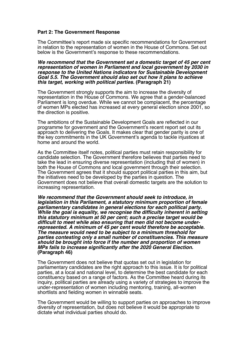## **Part 2: The Government Response**

The Committee's report made six specific recommendations for Government in relation to the representation of women in the House of Commons. Set out below is the Government's response to these recommendations.

*We recommend that the Government set a domestic target of 45 per cent representation of women in Parliament and local government by 2030 in response to the United Nations indicators for Sustainable Development Goal 5.5. The Government should also set out how it plans to achieve this target, working with political parties.* **(Paragraph 21)** 

The Government strongly supports the aim to increase the diversity of representation in the House of Commons. We agree that a gender-balanced Parliament is long overdue. While we cannot be complacent, the percentage of women MPs elected has increased at every general election since 2001, so the direction is positive.

The ambitions of the Sustainable Development Goals are reflected in our programme for government and the Government's recent report set out its approach to delivering the Goals. It makes clear that gender parity is one of the key commitments in the UK Government's agenda to tackle injustices at home and around the world.

As the Committee itself notes, political parties must retain responsibility for candidate selection. The Government therefore believes that parties need to take the lead in ensuring diverse representation (including that of women) in both the House of Commons and local government through their selection. The Government agrees that it should support political parties in this aim, but the initiatives need to be developed by the parties in question. The Government does not believe that overall domestic targets are the solution to increasing representation.

*We recommend that the Government should seek to introduce, in legislation in this Parliament, a statutory minimum proportion of female parliamentary candidates in general elections for each political party. While the goal is equality, we recognise the difficulty inherent in setting this statutory minimum at 50 per cent; such a precise target would be difficult to meet while also ensuring that men did not become under- represented. A minimum of 45 per cent would therefore be acceptable. The measure would need to be subject to a minimum threshold for parties contesting only a small number of constituencies. This measure should be brought into force if the number and proportion of women MPs fails to increase significantly after the 2020 General Election.* **(Paragraph 46)** 

The Government does not believe that quotas set out in legislation for parliamentary candidates are the right approach to this issue. It is for political parties, at a local and national level, to determine the best candidate for each constituency based on a range of factors. As the Committee heard during its inquiry, political parties are already using a variety of strategies to improve the under-representation of women including mentoring, training, all-women shortlists and fielding women in winnable seats.

The Government would be willing to support parties on approaches to improve diversity of representation, but does not believe it would be appropriate to dictate what individual parties should do.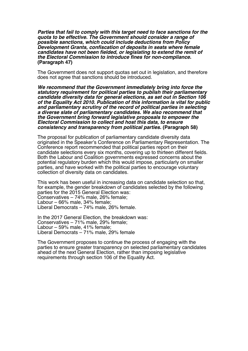*Parties that fail to comply with this target need to face sanctions for the quota to be effective. The Government should consider a range of possible sanctions, which could include deductions from Policy Development Grants, confiscation of deposits in seats where female candidates have not been fielded, or legislating to extend the remit of the Electoral Commission to introduce fines for non-compliance.*  **(Paragraph 47)** 

The Government does not support quotas set out in legislation, and therefore does not agree that sanctions should be introduced.

*We recommend that the Government immediately bring into force the statutory requirement for political parties to publish their parliamentary candidate diversity data for general elections, as set out in Section 106 of the Equality Act 2010. Publication of this information is vital for public and parliamentary scrutiny of the record of political parties in selecting a diverse slate of parliamentary candidates. We also recommend that the Government bring forward legislative proposals to empower the Electoral Commission to collect and host this data, to ensure consistency and transparency from political parties.* **(Paragraph 58)** 

The proposal for publication of parliamentary candidate diversity data originated in the Speaker's Conference on Parliamentary Representation. The Conference report recommended that political parties report on their candidate selections every six months, covering up to thirteen different fields. Both the Labour and Coalition governments expressed concerns about the potential regulatory burden which this would impose, particularly on smaller parties, and have worked with the political parties to encourage voluntary collection of diversity data on candidates.

This work has been useful in increasing data on candidate selection so that, for example, the gender breakdown of candidates selected by the following parties for the 2015 General Election was: Conservatives – 74% male, 26% female; Labour – 66% male, 34% female; Liberal Democrats – 74% male, 26% female.

In the 2017 General Election, the breakdown was: Conservatives – 71% male, 29% female; Labour – 59% male, 41% female; Liberal Democrats – 71% male, 29% female

The Government proposes to continue the process of engaging with the parties to ensure greater transparency on selected parliamentary candidates ahead of the next General Election, rather than imposing legislative requirements through section 106 of the Equality Act.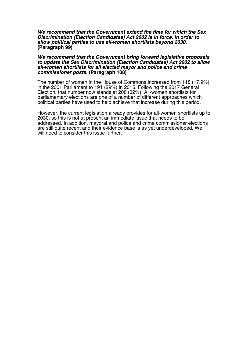#### *We recommend that the Government extend the time for which the Sex Discrimination (Election Candidates) Act 2002 is in force, in order to allow political parties to use all-women shortlists beyond 2030.* **(Paragraph 99)**

#### *We recommend that the Government bring forward legislative proposals to update the Sex Discrimination (Election Candidates) Act 2002 to allow all-women shortlists for all elected mayor and police and crime commissioner posts.* **(Paragraph 108)**

The number of women in the House of Commons increased from 118 (17.9%) in the 2001 Parliament to 191 (29%) in 2015. Following the 2017 General Election, that number now stands at 208 (32%). All-women shortlists for parliamentary elections are one of a number of different approaches which political parties have used to help achieve that increase during this period.

However, the current legislation already provides for all-women shortlists up to 2030, so this is not at present an immediate issue that needs to be addressed. In addition, mayoral and police and crime commissioner elections are still quite recent and their evidence base is as yet underdeveloped. We will need to consider this issue further.